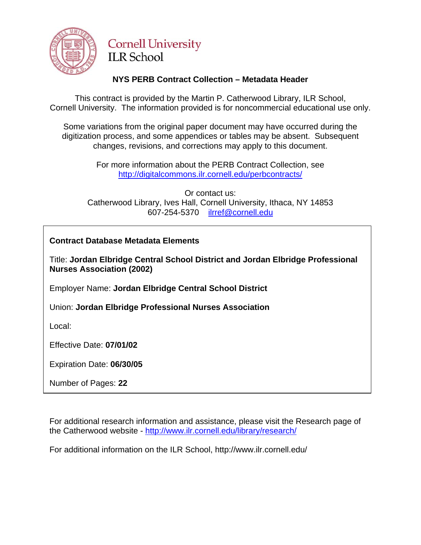

# **Cornell University ILR** School

## **NYS PERB Contract Collection – Metadata Header**

This contract is provided by the Martin P. Catherwood Library, ILR School, Cornell University. The information provided is for noncommercial educational use only.

Some variations from the original paper document may have occurred during the digitization process, and some appendices or tables may be absent. Subsequent changes, revisions, and corrections may apply to this document.

> For more information about the PERB Contract Collection, see http://digitalcommons.ilr.cornell.edu/perbcontracts/

Or contact us: Catherwood Library, Ives Hall, Cornell University, Ithaca, NY 14853 607-254-5370 [ilrref@cornell.edu](mailto:ilrref@cornell.edu)

## **Contract Database Metadata Elements**

Title: **Jordan Elbridge Central School District and Jordan Elbridge Professional Nurses Association (2002)** 

Employer Name: **Jordan Elbridge Central School District**

Union: **Jordan Elbridge Professional Nurses Association**

Local:

Effective Date: **07/01/02**

Expiration Date: **06/30/05**

Number of Pages: **22**

For additional research information and assistance, please visit the Research page of the Catherwood website -<http://www.ilr.cornell.edu/library/research/>

For additional information on the ILR School, http://www.ilr.cornell.edu/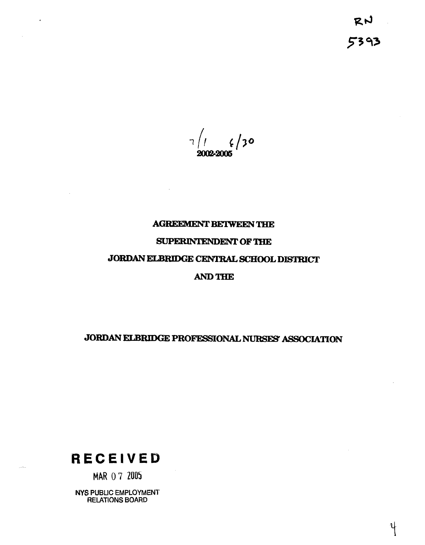RN<br>5393

삭

 $7/1$   $6/30$ 2002-2005

## **AGREEMENT BETWEEN TBE**

## **SUPERINTENDENT OF THE**

## **JORDAN ELBRIDGE** CENTRAL **SCHOOL DISTRICT**

## **AND THE**

## **JORDAN ELBRIDGE PROFESSIONAL** NURSES **ASSOCIATION**

**RECEIVED** 

**MAR** 0 7 2005

**NYS PUBUC EMPLOYMENT RELATIONS BOARD**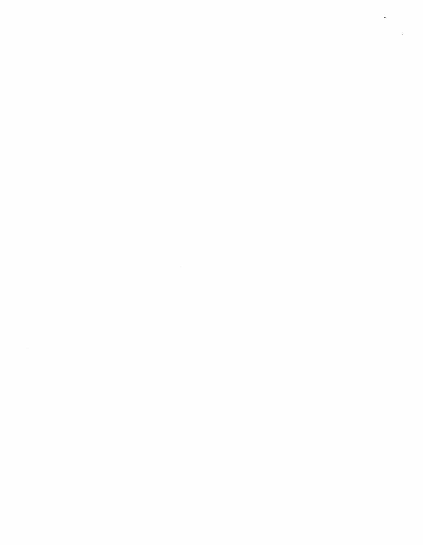$\mathcal{L}^{\text{max}}_{\text{max}}$  $\mathcal{L}^{\text{max}}_{\text{max}}$  .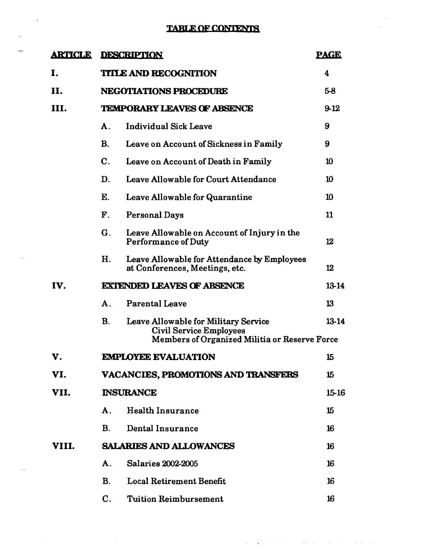## **TABLE OF CONTENTS**

| <b>ARTICLE</b> | <b>DESCRIPTION</b>                                                |                                                                                                                         |  | <b>PAGE</b> |
|----------------|-------------------------------------------------------------------|-------------------------------------------------------------------------------------------------------------------------|--|-------------|
| Ι.             | <b>TITLE AND RECOGNITION</b>                                      |                                                                                                                         |  | 4           |
| II.            | <b>NEGOTIATIONS PROCEDURE</b>                                     |                                                                                                                         |  |             |
| Ш.             |                                                                   | <b>TEMPORARY LEAVES OF ABSENCE</b>                                                                                      |  |             |
|                | А.                                                                | <b>Individual Sick Leave</b>                                                                                            |  | 9           |
|                | <b>B.</b>                                                         | Leave on Account of Sickness in Family                                                                                  |  | 9           |
|                | $\mathbf{C}$ .                                                    | Leave on Account of Death in Family                                                                                     |  | 10          |
|                | D.                                                                | Leave Allowable for Court Attendance                                                                                    |  | 10          |
|                | Е.                                                                | Leave Allowable for Quarantine                                                                                          |  | 10          |
|                | F.                                                                | <b>Personal Days</b>                                                                                                    |  | 11          |
|                | G.                                                                | Leave Allowable on Account of Injury in the<br>Performance of Duty                                                      |  | 12          |
|                | Η.                                                                | Leave Allowable for Attendance by Employees<br>at Conferences, Meetings, etc.                                           |  | 12          |
| IV.            | <b>EXTENDED LEAVES OF ABSENCE</b>                                 |                                                                                                                         |  | 13-14       |
|                | А.                                                                | <b>Parental Leave</b>                                                                                                   |  | 13          |
|                | В.                                                                | Leave Allowable for Military Service<br><b>Civil Service Employees</b><br>Members of Organized Militia or Reserve Force |  | 13-14       |
| V.             | <b>EMPLOYEE EVALUATION</b><br>VACANCIES, PROMOTIONS AND TRANSFERS |                                                                                                                         |  | 15          |
| VI.            |                                                                   |                                                                                                                         |  | 15          |
| VII.           | <b>INSURANCE</b>                                                  |                                                                                                                         |  | 15-16       |
|                | A.                                                                | <b>Health Insurance</b>                                                                                                 |  | 15          |
|                | $\mathbf{B}$ .                                                    | Dental Insurance                                                                                                        |  | 16          |
| VIII.          | <b>SALARIES AND ALLOWANCES</b>                                    |                                                                                                                         |  | 16          |
|                | Α.                                                                | <b>Salaries 2002-2005</b>                                                                                               |  | 16          |
|                | B <sub>r</sub>                                                    | <b>Local Retirement Benefit</b>                                                                                         |  | 16          |
|                | С.                                                                | <b>Tuition Reimbursement</b>                                                                                            |  | 16          |

 $\cdot$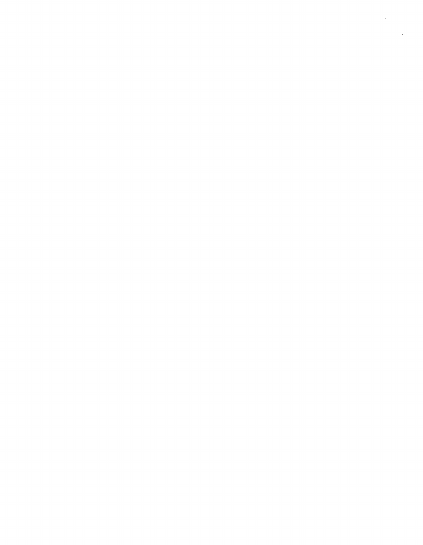$\mathcal{L}^{\text{max}}_{\text{max}}$  , where  $\mathcal{L}^{\text{max}}_{\text{max}}$  $\mathcal{L}(\mathcal{A})$  .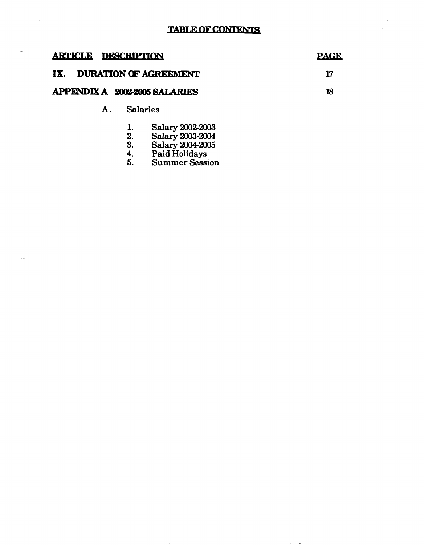## TABLE OF CONTENTS

 $\epsilon$ 

| <b>ARTICLE DESCRIPTION</b>           | <b>PAGE</b> |                                                                             |    |
|--------------------------------------|-------------|-----------------------------------------------------------------------------|----|
| IX.                                  |             | <b>DURATION OF AGREEMENT</b>                                                | 17 |
| <b>APPENDIX A 2002-2005 SALARIES</b> | 18          |                                                                             |    |
| А.                                   |             | <b>Salaries</b>                                                             |    |
|                                      | ິ           | Salary 2002-2003<br>$R_{\alpha}$ $\lambda$ $\mu$ $\alpha$ $\alpha$ $\alpha$ |    |

- **2. Salary 2003-2004**
- **3.** Salary 2004-2005

 $\bar{\mathcal{A}}$ 

 $\ddot{\phantom{a}}$ 

- **4. Paid Holidays**
- **5. Summer Session**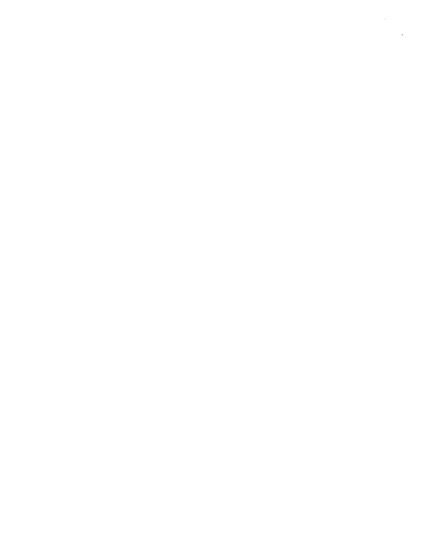$\label{eq:2.1} \frac{1}{\sqrt{2}}\left(\frac{1}{\sqrt{2}}\right)^2\left(\frac{1}{\sqrt{2}}\right)^2\left(\frac{1}{\sqrt{2}}\right)^2\left(\frac{1}{\sqrt{2}}\right)^2\left(\frac{1}{\sqrt{2}}\right)^2.$  $\mathcal{L}(\mathcal{A})$  and  $\mathcal{L}(\mathcal{A})$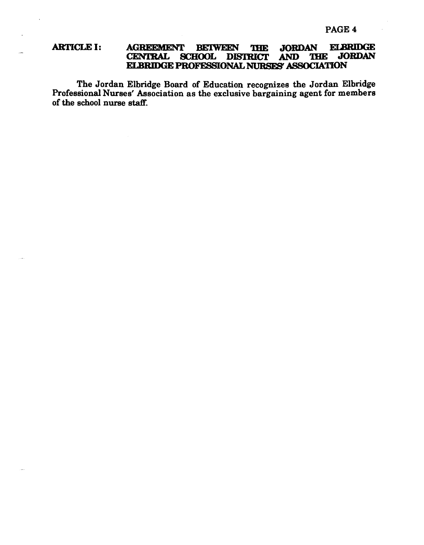#### **ARTICLE I: ELBRIDGE AGREEMENT BETWEEN JORDAN** THE **AND JORDAN CENTRAL SCHOOL DISTRICT THE** ELBRIDGE PROFESSIONAL NURSES ASSOCIATION

**The Jordan Elbridge Board of Education recognizes the Jordan Elbridge Professional Nurses' Association as the exclusive bargaining agent for members of the school nurse staff.**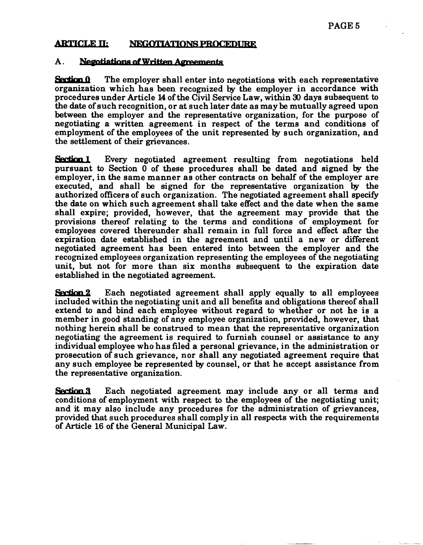## **ARTICLE II:** NEGOTIATIONS PROCEDURE

## A. **Negotiations of Written Agreements**

**Section 0** The employer shall enter into negotiations with each representative organization which has been recognized by the employer in accordance with procedures under Article 14 of the Civil Service Law, within 30 days subsequent to the date of such recognition, or at such later date as may be mutually agreed upon between the employer and the representative organization, for the purpose of negotiating a written agreement in respect of the terms and conditions of employment of the employees of the unit represented by such organization, and the settlement of their grievances.

Section 1 Every negotiated agreement resulting from negotiations held pursuant to Section **0** of these procedures shall be dated and signed by the employer, in the same manner as other contracts on behalf of the employer are executed, and shall be signed for the representative organization by the authorized officers of such organization. The negotiated agreement shall specify the date on which such agreement shall take effect and the date when the same shall expire; provided, however, that the agreement may provide that the provisions thereof relating to the terms and conditions of employment for employees covered thereunder shall remain in full force and effect after the expiration date established in the agreement and until a new or different negotiated agreement has been entered into between the employer and the recognized employees organization representing the employees of the negotiating unit, but not for more than six months subsequent to the expiration date established in the negotiated agreement.

**Section 2** Each negotiated agreement shall apply equally to all employees included within the negotiating unit and all benefits and obligations thereof shall extend to and bind each employee without regard to whether or not he is a member in good standing of any employee organization, provided, however, that nothing herein shall be construed to mean that the representative organization negotiating the agreement is required to furnish counsel or assistance to any individual employee who has filed a personal grievance, in the administration or prosecution of such grievance, nor shall any negotiated agreement require that any such employee be represented by counsel, or that he accept assistance from the representative organization.

Section 3 Each negotiated agreement may include any or all terms and conditions of employment with respect to the employees of the negotiating unit; and it may also include any procedures for the administration of grievances, provided that such procedures shall comply in all respects with the requirements of Article 16 of the General Municipal Law.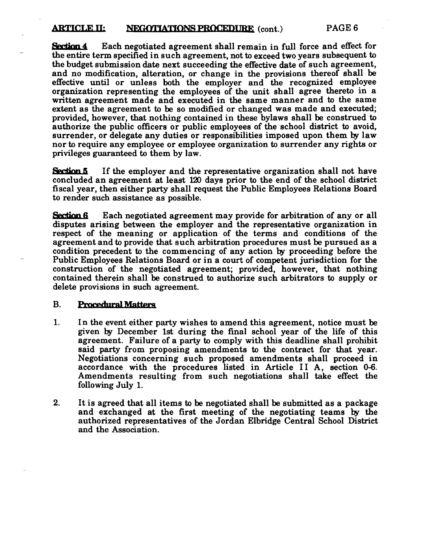**Section 4** Each negotiated agreement shall remain in full force and effect for the entire term specified in such agreement, not to exceed two years subsequent to the budget submission date next succeeding the effective date of such agreement, and no modification, alteration, or change in the provisions thereof shall be effective until or unless both the employer and the recognized employee organization representing the employees of the unit shall agree thereto in a written agreement made and executed in the same manner and to the same extent as the agreement to be so modified or changed was made and executed; provided, however, that nothing contained in these bylaws shall be construed to authorize the public officers or public employees of the school district to avoid, surrender, or delegate any duties or responsibilities imposed upon them by law nor to require any employee or employee organization to surrender any rights or privileges guaranteed to them by law.

If the employer and the representative organization shall not have **Section 5** concluded an agreement at least 120 days prior to the end of the school district fiscal year, then either party shall request the Public Employees Relations Board to render such assistance as possible.

Section 6 Each negotiated agreement may provide for arbitration of any or all disputes arising between the employer and the representative organization in respect of the meaning or application of the terms and conditions of the agreement and to provide that such arbitration procedures must be pursued as a condition precedent to the commencing of any action by proceeding before the Public Employees Relations Board or in a court of competent jurisdiction for the construction of the negotiated agreement; provided, however, that nothing contained therein shall be construed to authorize such arbitrators to supply or delete provisions in such agreement.

### $B<sub>1</sub>$ **Procedural Matters**

- $1.$ In the event either party wishes to amend this agreement, notice must be given by December 1st during the final school year of the life of this agreement. Failure of a party to comply with this deadline shall prohibit said party from proposing amendments to the contract for that year. Negotiations concerning such proposed amendments shall proceed in accordance with the procedures listed in Article I I **A,** section **0-6.**  Amendments resulting from such negotiations shall take effect the following July 1.
- **2.** It is agreed that all items to be negotiated shall be submitted as a package and exchanged at the first meeting of the negotiating teams by the authorized representatives of the Jordan Elbridge Central School District and the Association.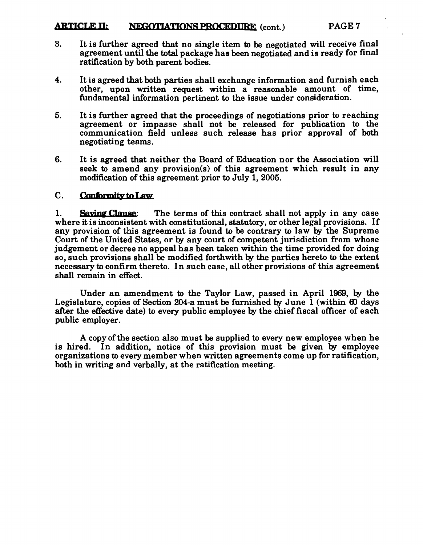## **ARTICLE II: NEGOTIATIONS PROCEDURE** (cont.)

- **3.** It is further agreed that no single item to be negotiated will receive final agreement until the total package has been negotiated and is ready for find ratification by both parent bodies.
- **4.** It is agreed that both parties shall exchange information and furnish each other, upon written request within a reasonable amount of time, fimdamental information pertinent to the issue under consideration.
- 5. It is further agreed that the proceedings of negotiations prior to reaching agreement or impasse shall not be released for publication to the communication field unless such release has prior approval of both negotiating teams.
- **6.** It is agreed that neither the Board of Education nor the Association will seek to amend any provision(s) of this agreement which result in any modification of this agreement prior to July 1,2005.

## $\mathbf{C}$ . **Conformity to Law**

1. Saving Clause: The terms of this contract shall not apply in any case where it is inconsistent with constitutional, statutory, or other legal provisions. If any provision of this agreement is found to be contrary to law by the Supreme Court of the United States, or by any court of competent jurisdiction from whose judgement or decree no appeal has been taken within the time provided for doing so, such provisions shall be modified forthwith by the parties hereto to the extent necessary to confirm thereto. In such case, all other provisions of this agreement shall remain in effect.

Under an amendment to the Taylor Law, passed in April 1%9, by the Legislature, copies of Section 204-a must be furnished by June 1 (within **80** days after the effective date) to every public employee by the chief fiscal officer of each public employer.

A copy of the section also must be supplied to every new employee when he is hired. In addition, notice of this provision must be given by employee organizations to every member when written agreements come up for ratification, both in writing and verbally, at the ratification meeting.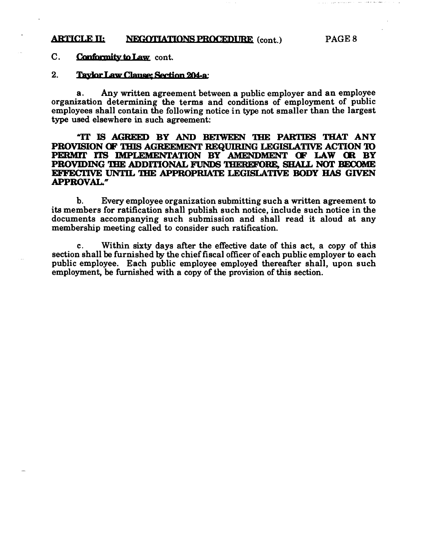### **ARTICLE II: NEGOTIATIONS PROCEDURE** (cont.)

PAGE 8

- . ..

C. Conformity to Law cont.

### $2.$ **Taylor Law Clause: Section 204-a:**

a. Any written agreement between a public employer and an employee organization determining the terms and conditions of employment of public employees shall contain the following notice in type not smaller than the largest type used elsewhere in such agreement:

## 'TI' **IS AGREXD BY AND** REXWEEN **TBE PARTIES TEAT ANY PROVISION OIF THIS AGREEMENT REQUIRING LEGISLATIVE ACTION** 'I0 **PERMIT ITS IMPLEMENTATION BY AMENDMENT OF LAW OR BY PROVIDING THE ADDITIONAL FUNDS THEREFORE, SHALL NOT BECOME** EFFECIlVE **UNTIL** 'IHE **APPROPRIATE LEGISLATIVE BODY HAS GIVEN APPROVAL."**

b. Every employee organization submitting such a written agreement to its members for ratification shall publish such notice, include such notice in the documents accompanying such submission and shall read it aloud at any membership meeting called to consider such ratification.

c. Within sixty days after the effective **date** of this act, a copy of this section shall be furnished by the chief fiscal officer of each public employer to each public employee. Each public employee employed thereafter shall, upon such employment, be furnished with a copy of the provision of this section.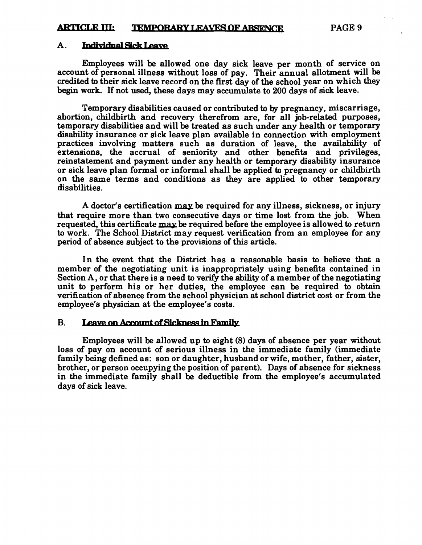## A. **Individual Sick Leave**

Employees will be allowed one day sick leave per month of service on account of personal illness without loss of pay. Their annual allotment will be credited to their sick leave record on the first day of the school year on which they begin work. If not used, these days may accumulate to **200** days of sick leave.

Temporary disabilities caused or contributed to by pregnancy, miscarriage, abortion, childbirth and recovery therefrom are, for all job-related purposes, temporary disabilities and will be treated as such under any health or temporary disability insurance or sick leave plan available in connection with employment practices involving matters such as duration of leave, the availability of extensions, the accrual of seniority and other benefits and privileges, reinstatement and payment under any health or temporary disability insurance or sick leave plan formal or informal shall be applied to pregnancy or childbirth on the same terms and conditions as they are applied to other temporary disabilities.

A doctor's certification *may* be required for any illness, sickness, or injury that require more than two consecutive days or time lost from the job. When requested, this certificate may be required before the employee is allowed to return to work. The School District may request verification from an employee for any period of absence subject to the provisions of this article.

In the event that the District has a reasonable basis to believe that a member of the negotiating unit is inappropriately using benefits contained in Section A, or that there is a need to verify the ability of a member of the negotiating unit to perform his or her duties, the employee can be required to obtain verification of absence from the school physician at school district cost or from the employee's physician at the employee's costs.

### **B.** Leave on Account of Sickness in Family

Employees will be allowed up to eight (8) days of absence per year without loss of pay on account of serious illness in the immediate family (immediate family being defined as: son or daughter, husband or wife, mother, father, sister, brother, or person occupying the position of parent). Days of absence for sickness in the immediate family shall be deductible from the employee's accumulated days of sick leave.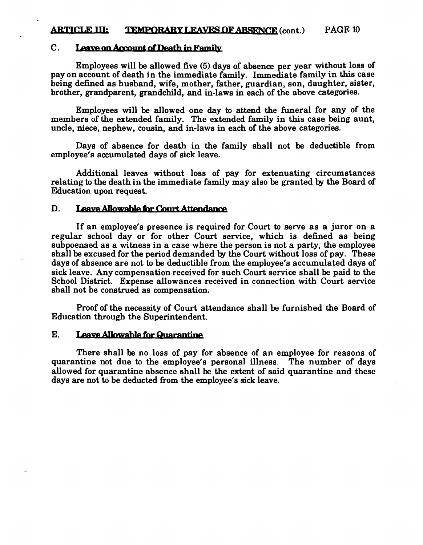## $\mathbf{C}$ . Leave on Account of Death in Family

Employees will be allowed five (5) days of absence per year without loss of pay on account of death in the immediate family. Immediate family in this case being defined as husband, wife, mother, father, guardian, son, daughter, sister, brother, grandparent, grandchild, and in-laws in each of the above categories.

Employees will be allowed one day to attend the funeral for any of the members of the extended family. The extended family in this case being aunt, uncle, niece, nephew, cousin, and in-laws in each of the above categories.

Days of absence for death in the family shall not be deductible from employee's accumulated days of sick leave.

Additional leaves without loss of pay for extenuating circumstances relating to the death in the immediate family may also be granted by the Board of Education upon request.

### D. **Leave Allowable for Court Attendance**

If an employee's presence is required for Court to serve as a juror on a regular school day or for other Court service, which is defined as being subpoenaed as a witness in a case where the person is not a party, the employee shall be excused for the period demanded by the Court without loss of pay. These days of absence are not to be deductible from the employee's accumulated days of sick leave. Any compensation received for such Court service shall be paid to the School District. Expense allowances received in connection with Court service shall not be construed as compensation.

Proof of the necessity of Court attendance shall be furnished the Board of Education through the Superintendent.

## $E_{\cdot}$ **Leave Allowable for Quarantine**

There shall be no loss of pay for absence of an employee for reasons of quarantine not due to the employee's personal illness. The number of days allowed for quarantine absence shall be the extent of said quarantine and these days are not to be deducted from the employee's sick leave.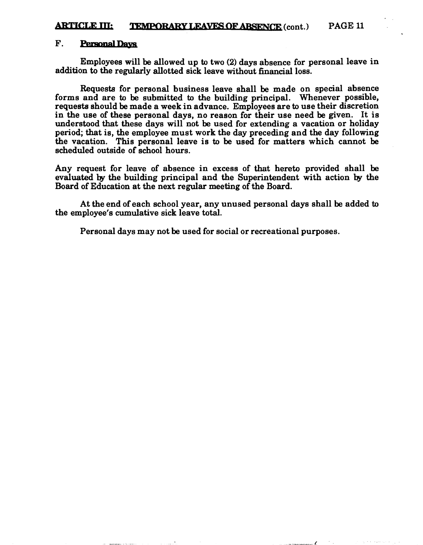## **F. Personal Davs**

Employees will be allowed up to two (2) days absence for personal leave in addition to the regularly allotted sick leave without financial loss.

Requests for personal business leave shall be made on special absence forms and are to be submitted to the building principal. Whenever possible, requests should be made a week in advance. Employees are to use their discretion in the use of these personal days, no reason for their use need be given. It is understood that these days will not be used for extending a vacation or holiday period; that is, the employee must work the day preceding and the day following the vacation. This personal leave is to be used for matters which cannot be scheduled outside of school hours.

Any request for leave of absence in excess of that hereto provided shall be evaluated by the building principal and the Superintendent with action by the Board of Education at the next regular meeting of the Board.

At the end of each school year, any unused personal days shall be added to the employee's cumulative sick leave total.

Personal days may not be used for social or recreational purposes.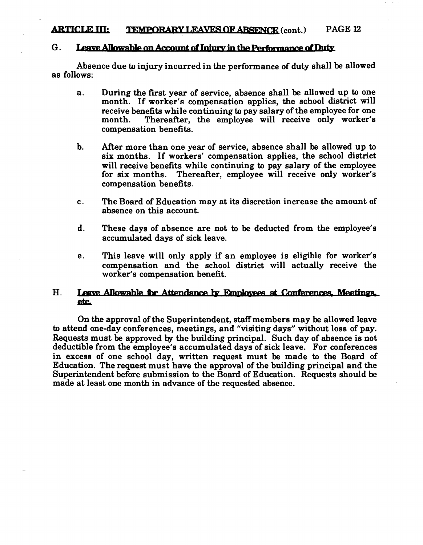## **TEMPORARY LEAVES OF ABSENCE** (cont.) PAGE 12 **ARTICLE III:**

## G. Leave Allowable on Account of Injury in the Performance of Duty

Absence due to injury incurred in the performance of duty shall be allowed as follows:

- a. During the fist year of service, absence shall be allowed up to one month. If worker's compensation applies, the school district will receive benefits while continuing to pay salary of the employee for one<br>month. Thereafter, the employee will receive only worker's Thereafter, the employee will receive only worker's compensation benefits.
- b. After more than one year of service, absence shall be allowed up to six months. If workers' compensation applies, the school district will receive benefits while continuing to pay salary of the employee for six months. Thereafter, employee will receive only worker's compensation benefits.
- c. The Board of Education may at its discretion increase the amount of absence on this account.
- d. These days of absence are not to be deducted from the employee's accumulated days of sick leave.
- e. This leave will only apply if an employee is eligible for worker's compensation and the school district will actually receive the worker's compensation benefit.

## H. Leave Allowable for Attendance by Employees at Conferences, Meetings. etc.

On the approval of the Superintendent, staff members may be allowed leave to attend one-day conferences, meetings, and "visiting days" without loss of pay. Requests must be approved by the building principal. Such day of absence is not deductible from the employee's accumulated days of sick leave. For conferences in excess of one school day, written request must be made to the Board of Education. The request must have the approval of the building principal and the Superintendent before submission to the Board of Education. Requests should be made at least one month in advance of the requested absence.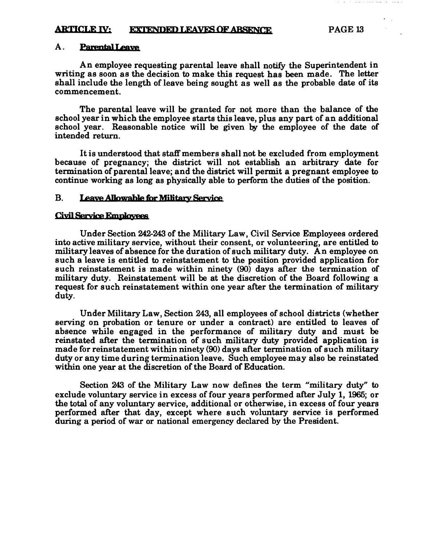### **ARTICLE IV: EXTENDED LEAVES OF ABSENCE**

### A. **Parental Leave**

An employee requesting parental leave shall notify the Superintendent in writing as soon as the decision to make this request has been made. The letter shall include the length of leave being sought as well as the probable date of its commencement.

The parental leave will be granted for not more than the balance of the school year in which the employee starts this leave, plus any part of an additional school year. Reasonable notice will be given by the employee of the date of intended return.

It is understood that staff members shall not be excluded from employment because of pregnancy; the district will not establish an arbitrary date for termination of parental leave; and the district will permit a pregnant employee to continue working as long as physically able to perform the duties of the position.

### $B<sub>1</sub>$ **Leave Allowable for Military Service**

## **Civil Service Employees**

Under Section **242243** of the Military Law, Civil Service Employees ordered into active military service, without their consent, or volunteering, are entitled to military leaves of absence for the duration of such military duty. An employee on such a leave is entitled to reinstatement to the position provided application for such reinstatement is made within ninety (90) days after the termination of military duty. Reinstatement will be at the discretion of the Board following a request for such reinstatement within one year after the termination of military duty.

Under Military Law, Section 243, all employees of school districts (whether serving on probation or tenure or under a contract) are entitled to leaves of absence while engaged in the performance of military duty and must be reinstated after the termination of such military duty provided application is made for reinstatement within ninety (90) days after termination of such military duty or any time during termination leave. Such employee may also be reinstated within one year at the discretion of the Board of Education.

Section **243** of the Military Law now defines the term "military duty" to exclude voluntary service in excess of four years performed after July 1, 1965; or the **total** of any voluntary service, additional or otherwise, in excess of four years performed after that day, except where such voluntary service is performed during a period of war or national emergency declared by the President.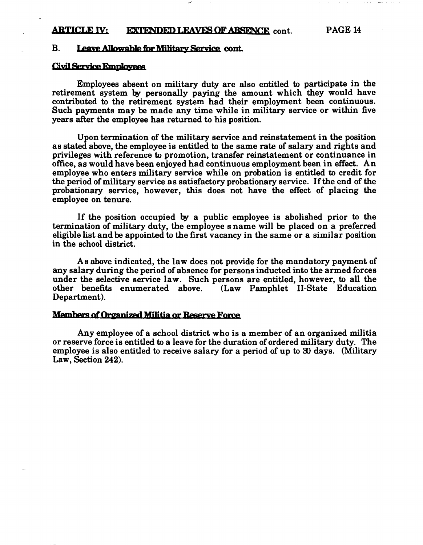### **ARTICLE IV:** EXTENDED LEAVES OF ABSENCE cont. PAGE 14

### $B<sub>1</sub>$ Leave Allowable for Military Service cont.

## **Civil Service Employees**

Employees absent on military duty are also entitled to participate in the retirement system by personally paying the amount which they would have contributed to the retirement system had their employment been continuous. Such payments may be made any time while in military service or within five years after the employee has returned to his position.

Upon termination of the military service and reinstatement in the position as stated above, the employee is entitled to the same rate of salary and rights and privileges with reference to promotion, transfer reinstatement or continuance in office, as would have been enjoyed had continuous employment been in effect. An employee who enters military service while on probation is entitled to credit for the period of military service as satisfactory probationary service. If the end of the probationary service, however, this does not have the effect of placing the employee on tenure.

If the position occupied **ty** a public employee is abolished prior to the termination of military duty, the employee s name will be placed on a preferred eligible list and be appointed to the first vacancy in the same or a similar position in the school district.

As above indicated, the law does not provide for the mandatory payment of any salary during the period of absence for persons inducted into the armed forces under the selective service law. Such persons are entitled, however, to all the other benefits enumerated above. (Law Pamphlet 11-State Education Department).

## **Members of Organized Militia or Reserve Force**

Any employee of a school district who is a member of an organized militia or reserve force is entitled to a leave for the duration of ordered military duty. The employee is also entitled to receive salary for a period of up to 30 days. (Military Law, Section 242).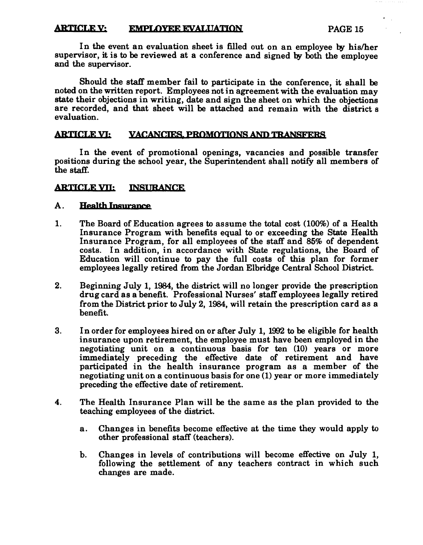## **ARTICLE V: EMPLOYEE EVALUATION**

In the event an evaluation sheet is filled out on an employee by his/her supervisor, it is to be reviewed at a conference and signed by both the employee and the supervisor.

Should the staff member fail to participate in the conference, it shall be noted on the written report. Employees not in agreement with the evaluation may state their objections in writing, date and sign the sheet on which the objections are recorded, and that sheet will be attached and remain with the district s evaluation.

## **ARTICLE VI:** VACANCIES. PROMOTIONS AND TRANSFERS

In the event of promotional openings, vacancies and possible transfer positions during the school year, the Superintendent shall notify all members of the staff.

## **ARTICLE VII: INSURANCE**

## A. **Health Insurance**

- 1. The Board of Education agrees to assume the **total** cost (100%) of a Health Insurance Program with benefits equal to or exceeding the State Health Insurance Program, for all employees of the staff and 85% of dependent costs. In addition, in accordance with State regulations, the Board of Education will continue to pay the full costs of this plan for former employees legally retired from the Jordan Elbridge Central School District.
- Beginning July 1, 1984, the district will no longer provide the prescription  $2.$ drug card as a benefit. Professional Nurses' staff employees legally retired from the District prior to July 2, 1984, will retain the prescription card as a benefit.
- 3. In order for employees hired on or after July 1, 1992 to be eligible for health insurance upon retirement, the employee must have been employed in the negotiating unit on a continuous basis for ten (10) years or more immediately preceding the effective date of retirement and have participated in the health insurance program as a member of the negotiating unit on a continuous basis for one (1) year or more immediately preceding the effective date of retirement.
- $4.$ The Health Insurance Plan will be the same as the plan provided to the teaching employees of the district.
	- a. Changes in benefits become effective at the time they would apply to other professional staff (teachers).
	- b. Changes in levels of contributions will become effective on July 1, following the settlement of any teachers contract in which such changes are made.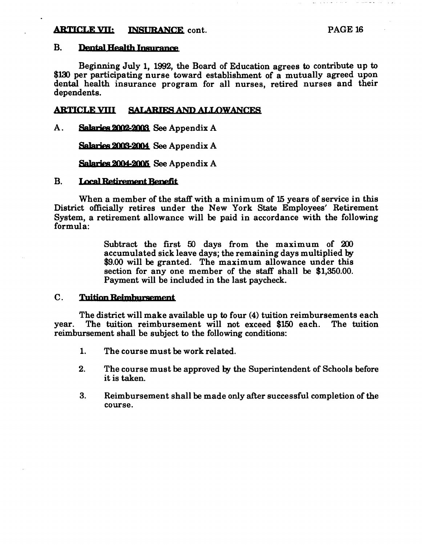## ARTICLE VII: INSURANCE cont. PAGE 16

## $\mathbf{R}$ Dental Health Insurance

Beginning July 1, 1992, the Board of Education agrees to contribute up to \$130 per participating nurse toward establishment of a mutually agreed upon dental health insurance program for all nurses, retired nurses and their dependents.

## ARTICLE **SALARIES AND ALLOWANCES**

A. **Salaries 2002-2003** See Appendix A

Salaries 2003-2004 See Appendix A

Salaries 2004-2005 See Appendix A

## $\mathbf{B}$ . **Local Retirement Benefit**

When a member of the staff with a minimum of **15** years of senrice in this District officially retires under the New York State Employees' Retirement System, a retirement allowance will be paid in accordance with the following formula:

> Subtract the first 50 days from the maximum of 200 accumulated sick leave days; the remaining days multiplied by \$9.00 will be granted. The maximum allowance under this section for any one member of the staff shall be \$1,350.00. Payment will be included in the last paycheck.

## $\mathbf{C}$ . **Tuition Reimbursement**

The district will make available up to four (4) tuition reimbursements each year. The tuition reimbursement will not exceed \$150 each. The tuition reimbursement shall be subject to the following conditions:

- 1. The course must be work related.
- 2. The course must be approved by the Superintendent of Schools before it is taken.
- **3.** Reimbursement shall be made only after successful completion of the course.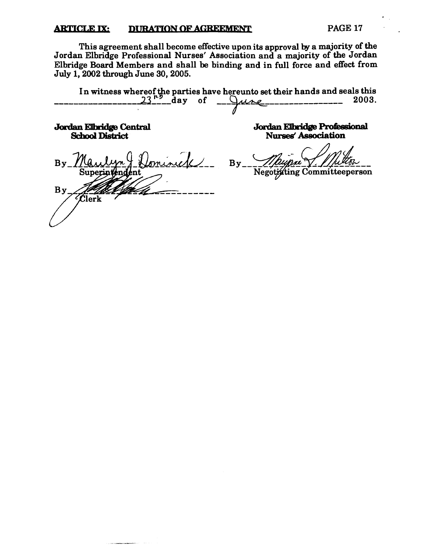## **ARTICLE IX: DURATION OF AGREEMENT**

This agreement shall become effective upon its approval by a majority of the Jordan Elbridge Professional Nurses' Association and a majority of the Jordan Elbridge Board Members and shall be binding and in full force and effect from July **1,2002** through June **30,2005.** 

In witness whereotp parties have hereunto set their hands and seals this ---------------- **2003.** 

**Jordan Elbridge Central School District** 

By omin Superin  $Bv$ Clerk

Jordan Elbridge Professional **Nurses' Association** 

By Negotiating Committeeperson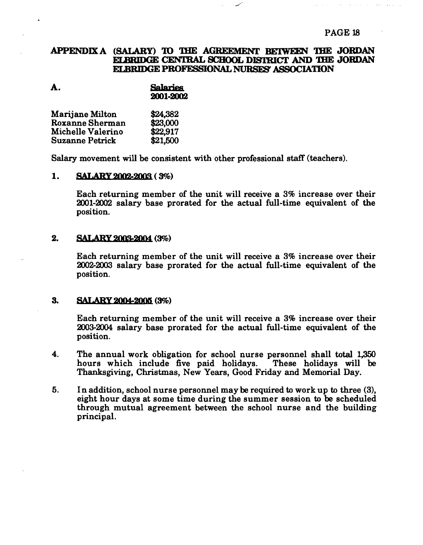الرابي والمتعارف والمتفقد المتعارف والمتحدث والمحارب

## **APPENDIXA (SALARY)** 'IO **TRE AGREEMENT** aFIWEEN 'IB(E **JORDAN ELERIDGE CENTRAL SCHOOL DISTRICT AND THE JORDAN ELBRIDGE PROFESSIONAL** NUR5S' **ASSOCIATION**

| A. | <b>Salaries</b> |
|----|-----------------|
|    | 2001-2002       |

| <b>Marijane Milton</b> | \$24,382 |
|------------------------|----------|
| <b>Roxanne Sherman</b> | \$23,000 |
| Michelle Valerino      | \$22,917 |
| <b>Suzanne Petrick</b> | \$21,500 |

Salary movement will be consistent with other professional staff (teachers).

### 1. **SALARY 2002-2003 (3%)**

Each returning member of the unit will receive a **3%** increase over their 2001-2002 salary base prorated for the actual full-time equivalent of the position.

### $2<sub>-</sub>$ **SALARY 2003-2004 (3%)**

Each returning member of the unit will receive a **3%** increase over their 20022)03 salary base prorated for the actual full-time equivalent of the position.

### **3. SALARY 2004-2005 (3%)**

Each returning member of the unit will receive a **3%** increase over their **2003-2004** salary base prorated for the actual full-time equivalent of the position.

- **4.** The annual work obligation for school nurse personnel shall total 1,350 hours which include five paid holidays. These holidays will be Thanksgiving, Christmas, New Years, Good Friday and Memorial Day.
- **5.** In addition, school nurse personnel may be required to work up to three **(3),**  eight hour days at some time during the summer session to be scheduled through mutual agreement between the school nurse and the building principal.